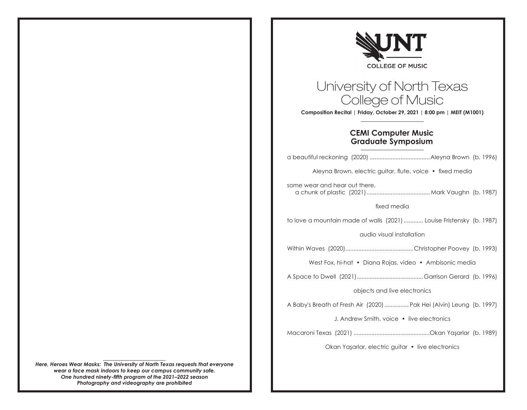

*Here, Heroes Wear Masks: The University of North Texas requests that everyone wear a face mask indoors to keep our campus community safe. One hundred ninety-fifth program of the 2021–2022 season Photography and videography are prohibited*